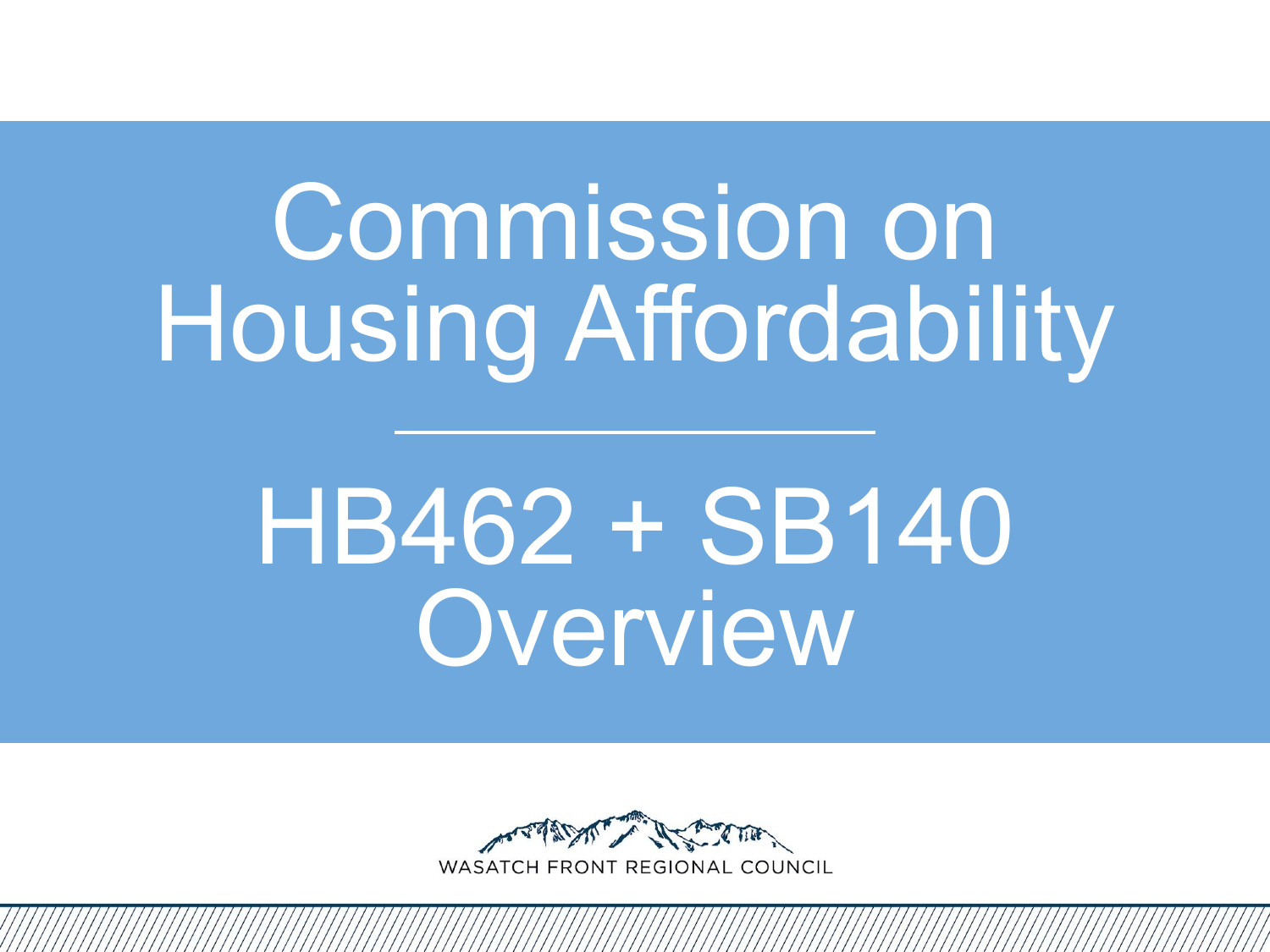# Commission on Housing Affordability

# HB462 + SB140 Overview

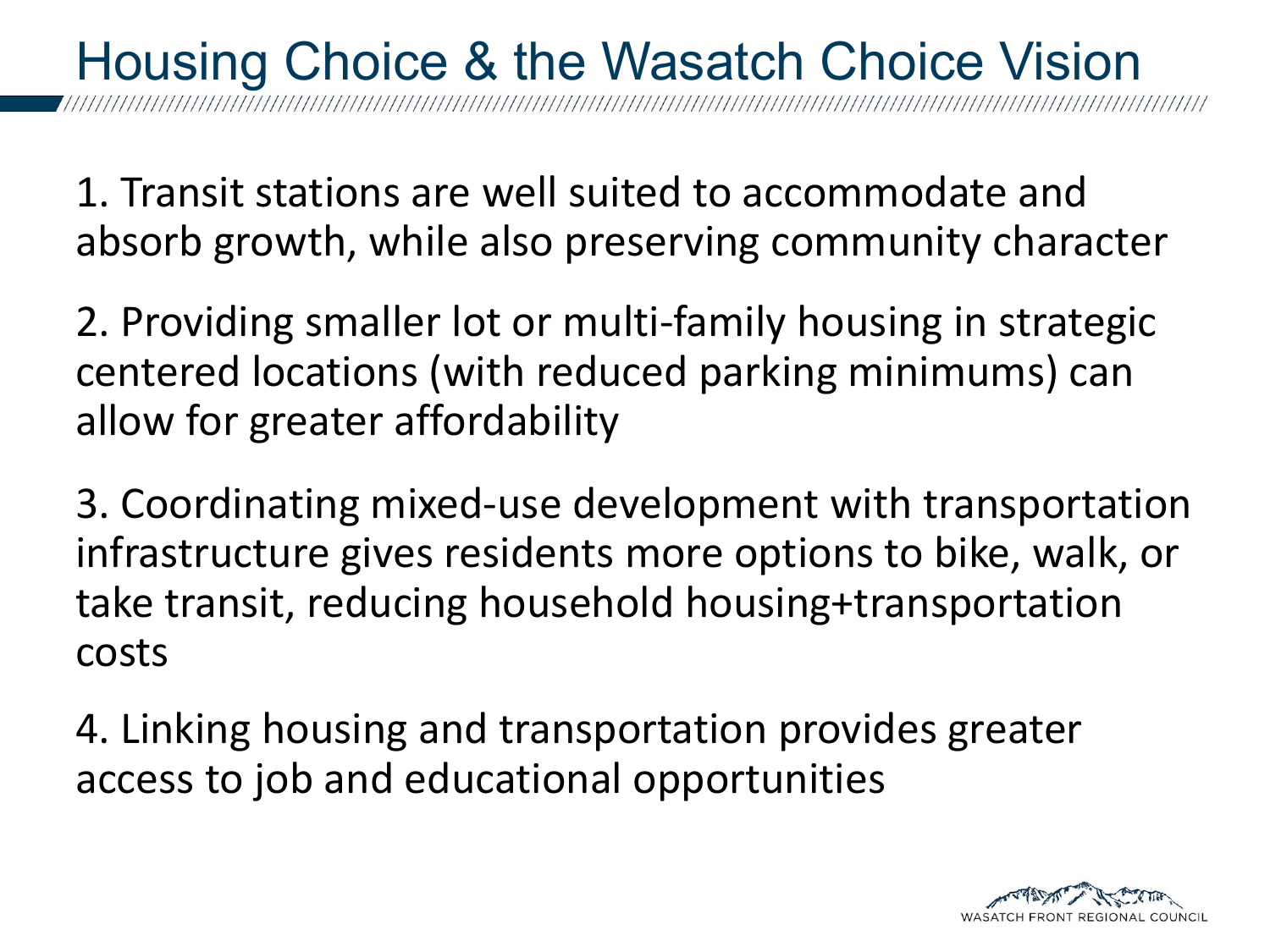#### Housing Choice & the Wasatch Choice Vision

1. Transit stations are well suited to accommodate and absorb growth, while also preserving community character

2. Providing smaller lot or multi-family housing in strategic centered locations (with reduced parking minimums) can allow for greater affordability

3. Coordinating mixed-use development with transportation infrastructure gives residents more options to bike, walk, or take transit, reducing household housing+transportation costs

4. Linking housing and transportation provides greater access to job and educational opportunities

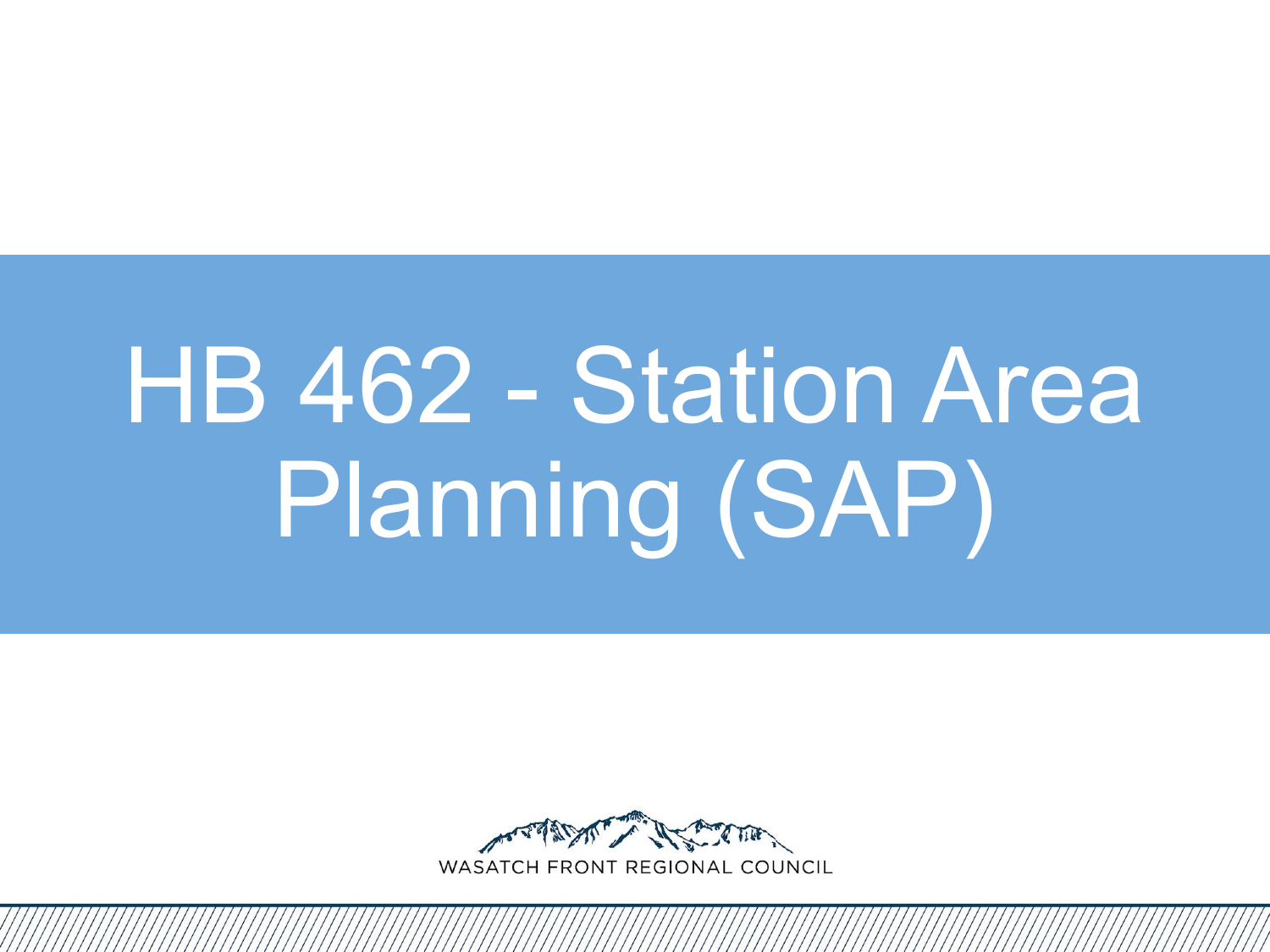# HB 462 - Station Area Planning (SAP)

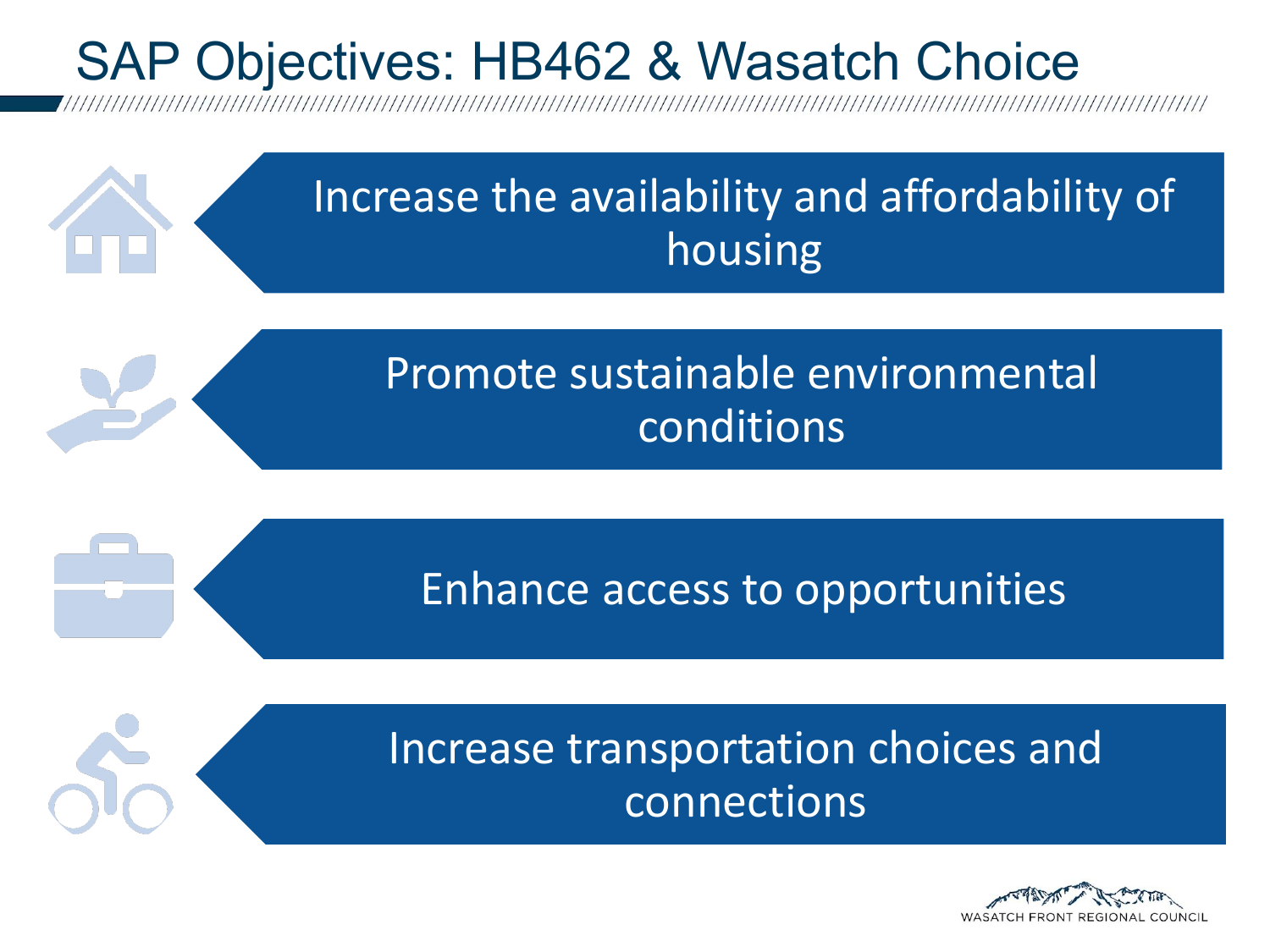#### SAP Objectives: HB462 & Wasatch Choice



Enhance access to opportunities



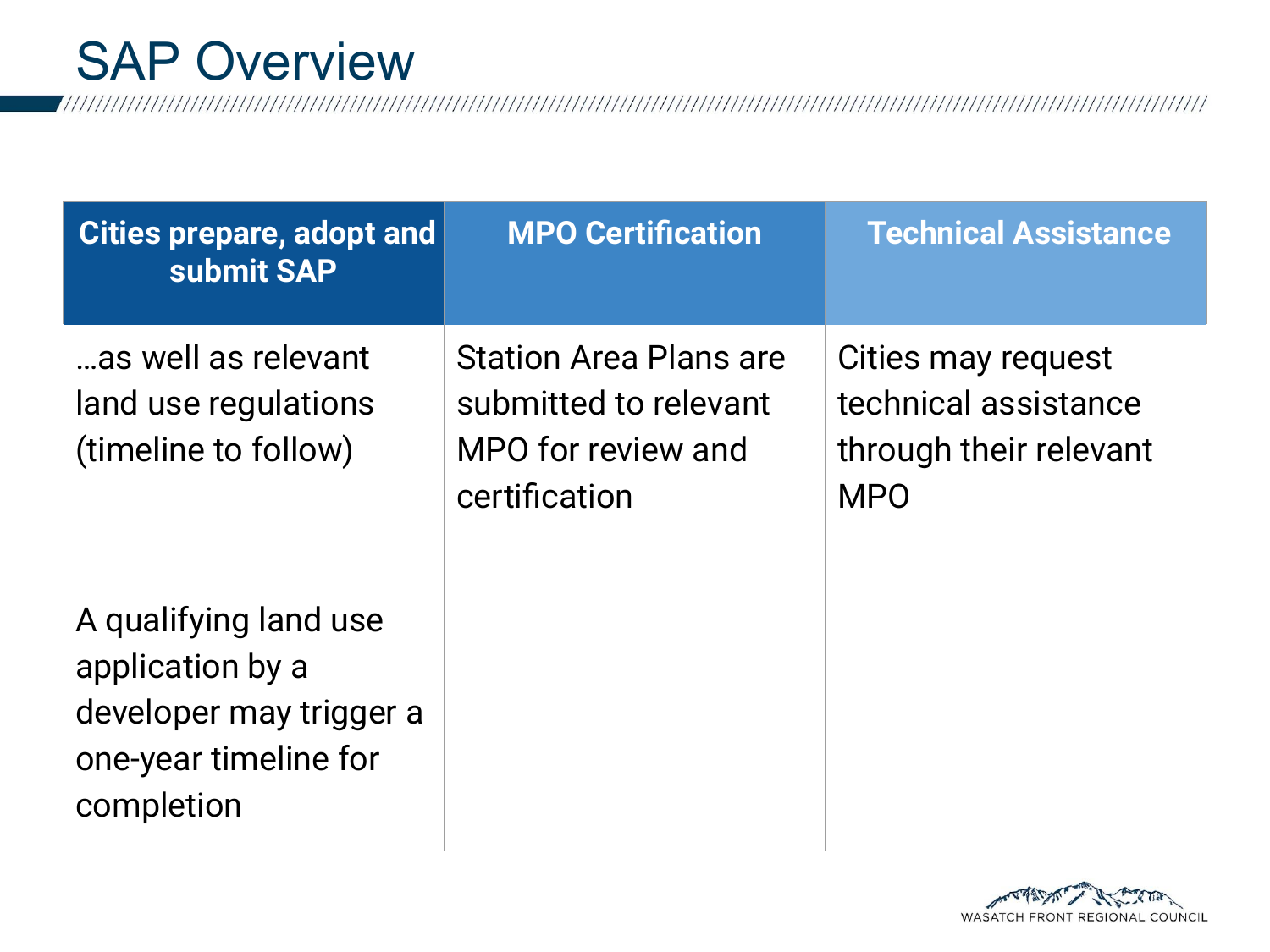SAP Overview<br>

| Cities prepare, adopt and<br>submit SAP                                                                     | <b>MPO Certification</b>                                                                      | <b>Technical Assistance</b>                                                        |
|-------------------------------------------------------------------------------------------------------------|-----------------------------------------------------------------------------------------------|------------------------------------------------------------------------------------|
| as well as relevant<br>land use regulations<br>(timeline to follow)                                         | <b>Station Area Plans are</b><br>submitted to relevant<br>MPO for review and<br>certification | Cities may request<br>technical assistance<br>through their relevant<br><b>MPO</b> |
| A qualifying land use<br>application by a<br>developer may trigger a<br>one-year timeline for<br>completion |                                                                                               |                                                                                    |

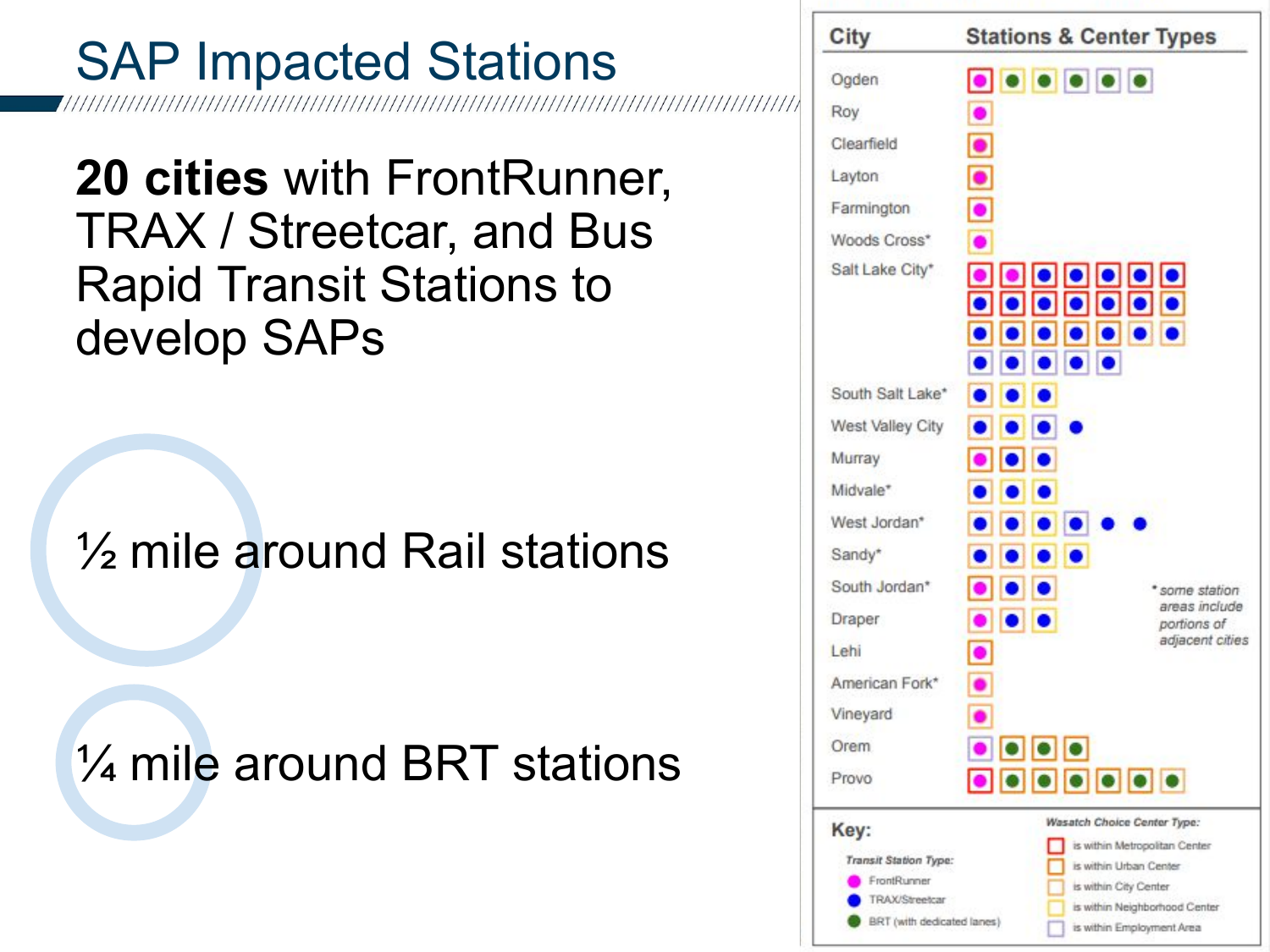#### SAP Impacted Stations

**20 cities** with FrontRunner, TRAX / Streetcar, and Bus Rapid Transit Stations to develop SAPs

½ mile around Rail stations

¼ mile around BRT stations

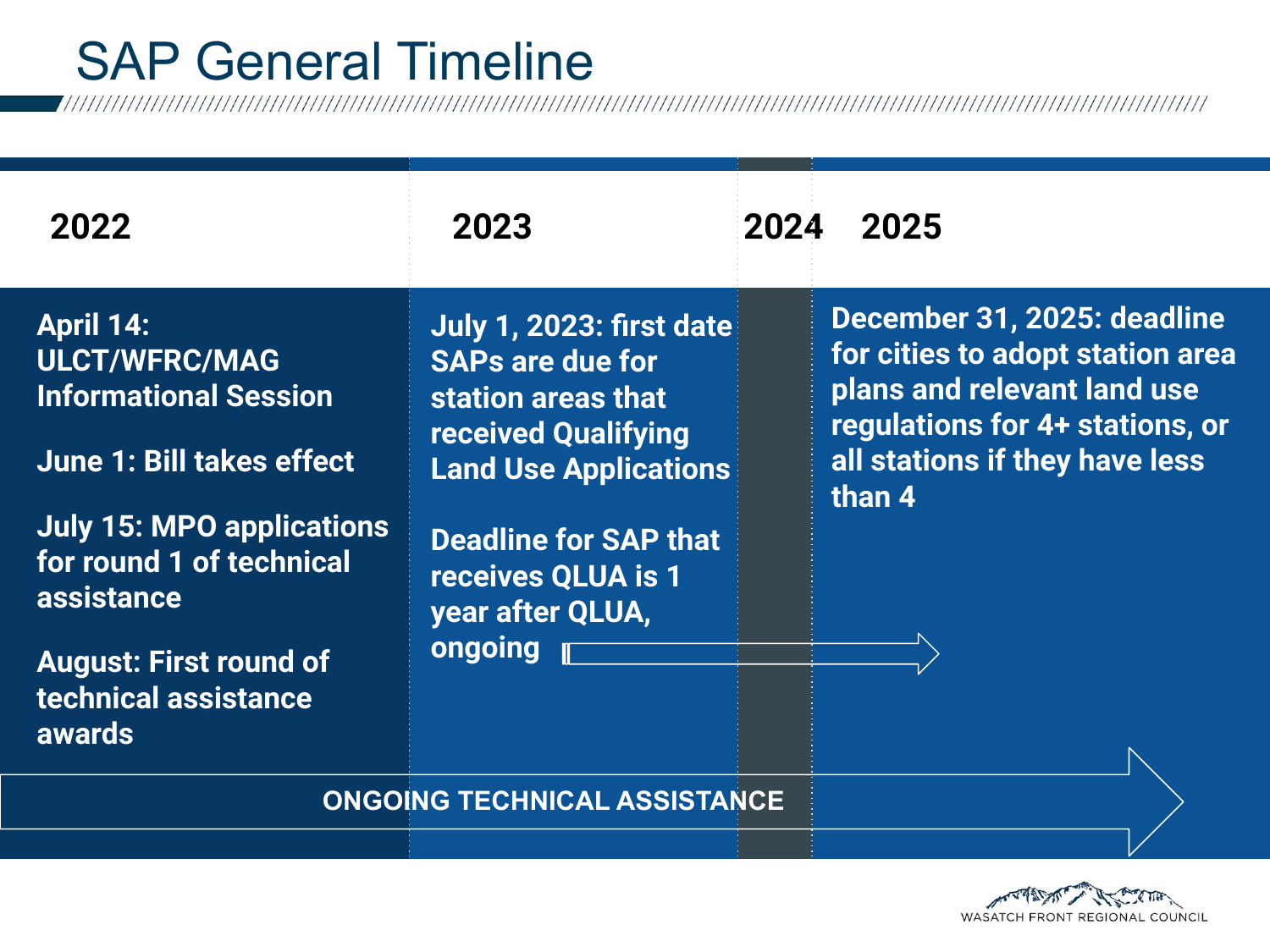### SAP General Timeline<br>

| 2022                                                                                                                                                                                                                                                          | 2023                                                                                                                                                                                                                                | 2024 | 2025                                                                                                                                                                          |
|---------------------------------------------------------------------------------------------------------------------------------------------------------------------------------------------------------------------------------------------------------------|-------------------------------------------------------------------------------------------------------------------------------------------------------------------------------------------------------------------------------------|------|-------------------------------------------------------------------------------------------------------------------------------------------------------------------------------|
| <b>April 14:</b><br><b>ULCT/WFRC/MAG</b><br><b>Informational Session</b><br><b>June 1: Bill takes effect</b><br><b>July 15: MPO applications</b><br>for round 1 of technical<br>assistance<br><b>August: First round of</b><br>technical assistance<br>awards | July 1, 2023: first date<br><b>SAPs are due for</b><br>station areas that<br><b>received Qualifying</b><br><b>Land Use Applications</b><br><b>Deadline for SAP that</b><br>receives QLUA is 1<br>year after QLUA,<br><b>ongoing</b> |      | December 31, 2025: deadline<br>for cities to adopt station area<br>plans and relevant land use<br>regulations for 4+ stations, or<br>all stations if they have less<br>than 4 |

**ONGOING TECHNICAL ASSISTANCE**

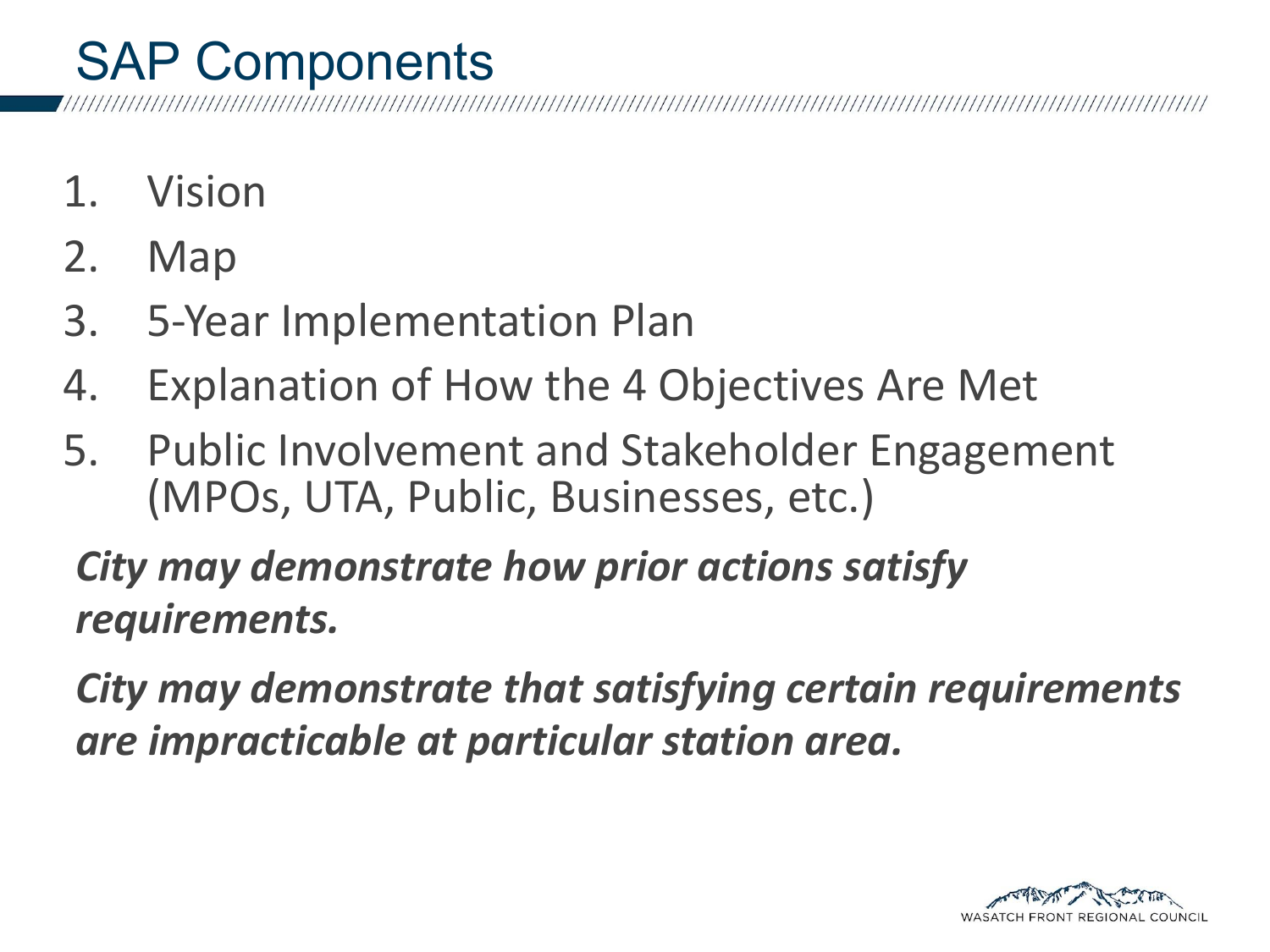#### SAP Components

- 1. Vision
- 2. Map
- 3. 5-Year Implementation Plan
- 4. Explanation of How the 4 Objectives Are Met
- 5. Public Involvement and Stakeholder Engagement (MPOs, UTA, Public, Businesses, etc.)

*City may demonstrate how prior actions satisfy requirements.*

*City may demonstrate that satisfying certain requirements are impracticable at particular station area.*

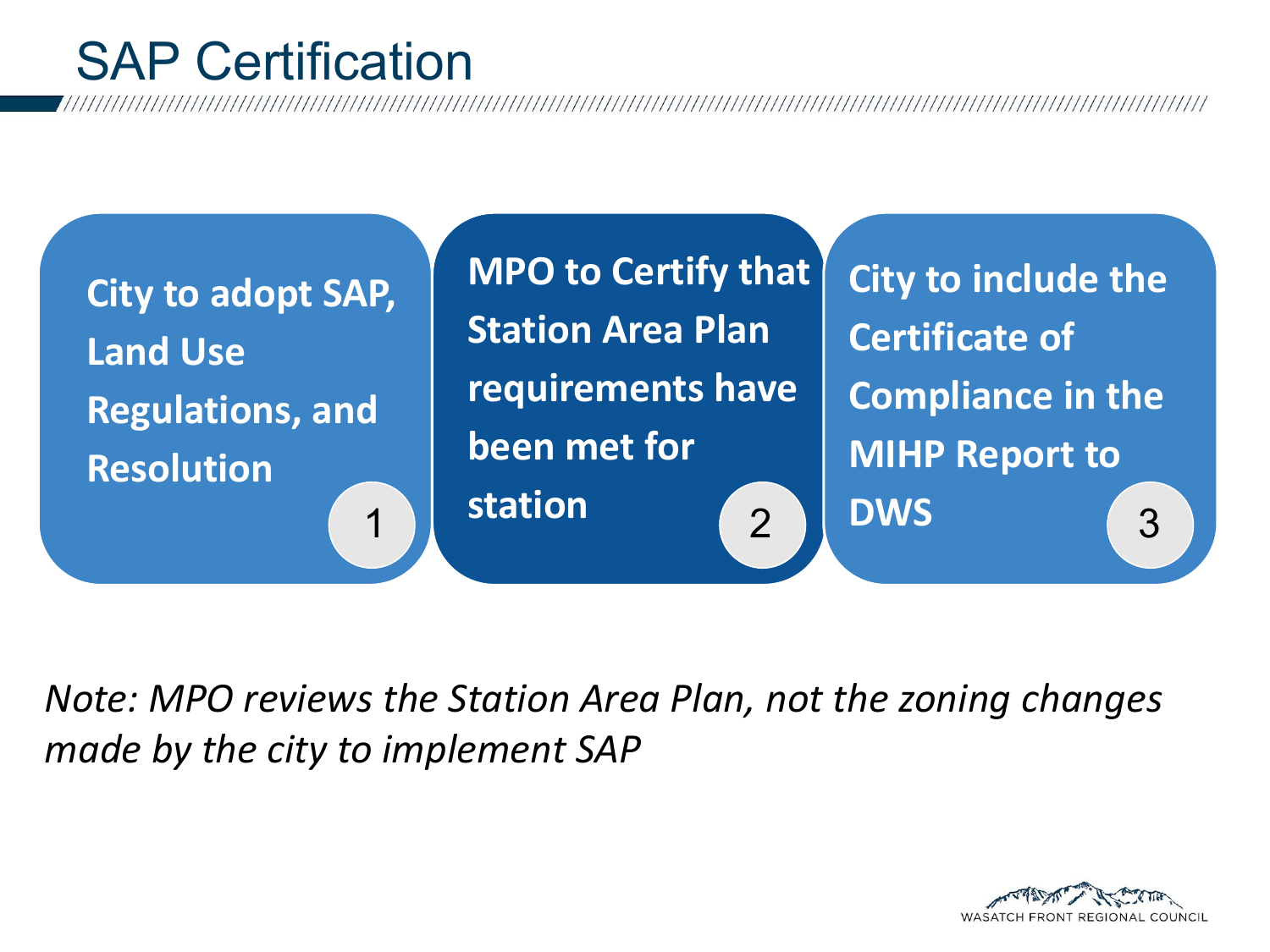#### SAP Certification

**City to adopt SAP, Land Use Regulations, and Resolution**

**MPO to Certify that Station Area Plan requirements have been met for station**

**City to include the Certificate of Compliance in the MIHP Report to**  1 Station (2 ) DWS (3

*Note: MPO reviews the Station Area Plan, not the zoning changes made by the city to implement SAP*

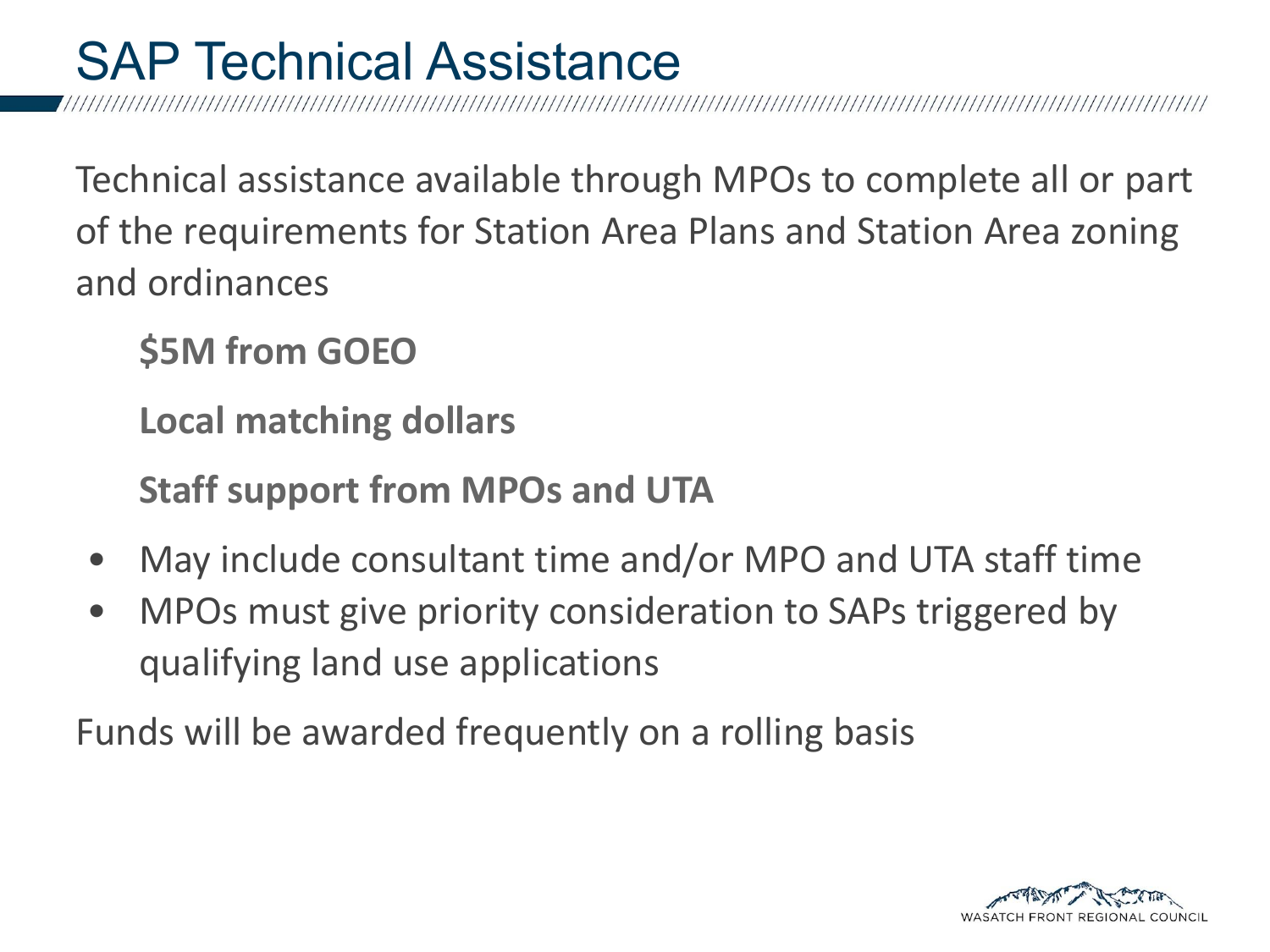#### SAP Technical Assistance

Technical assistance available through MPOs to complete all or part of the requirements for Station Area Plans and Station Area zoning and ordinances

**\$5M from GOEO**

**Local matching dollars**

**Staff support from MPOs and UTA**

- May include consultant time and/or MPO and UTA staff time
- MPOs must give priority consideration to SAPs triggered by qualifying land use applications

Funds will be awarded frequently on a rolling basis

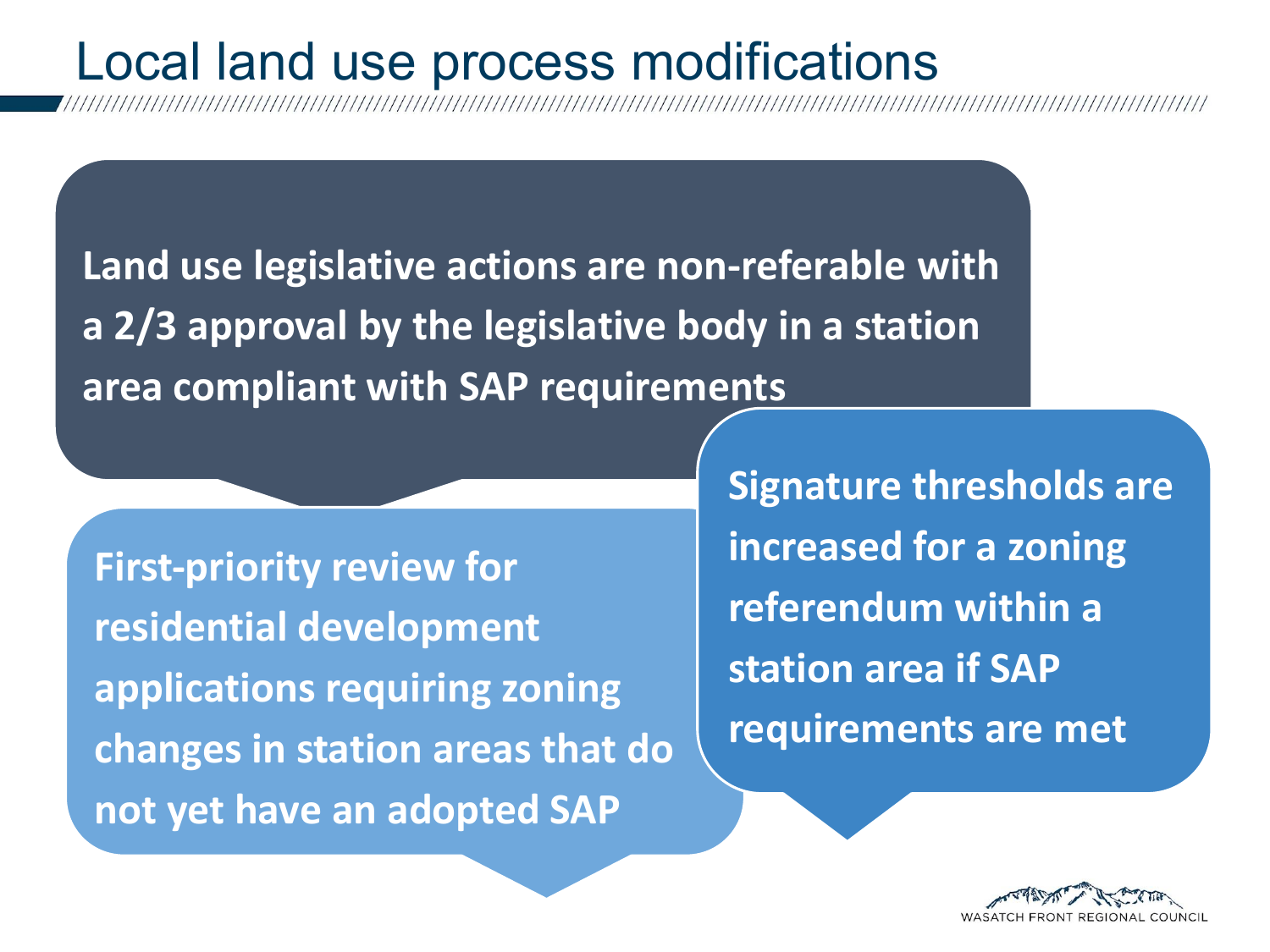#### Local land use process modifications

**Land use legislative actions are non-referable with a 2/3 approval by the legislative body in a station area compliant with SAP requirements**

**First-priority review for residential development applications requiring zoning changes in station areas that do not yet have an adopted SAP**

**Signature thresholds are increased for a zoning referendum within a station area if SAP requirements are met**

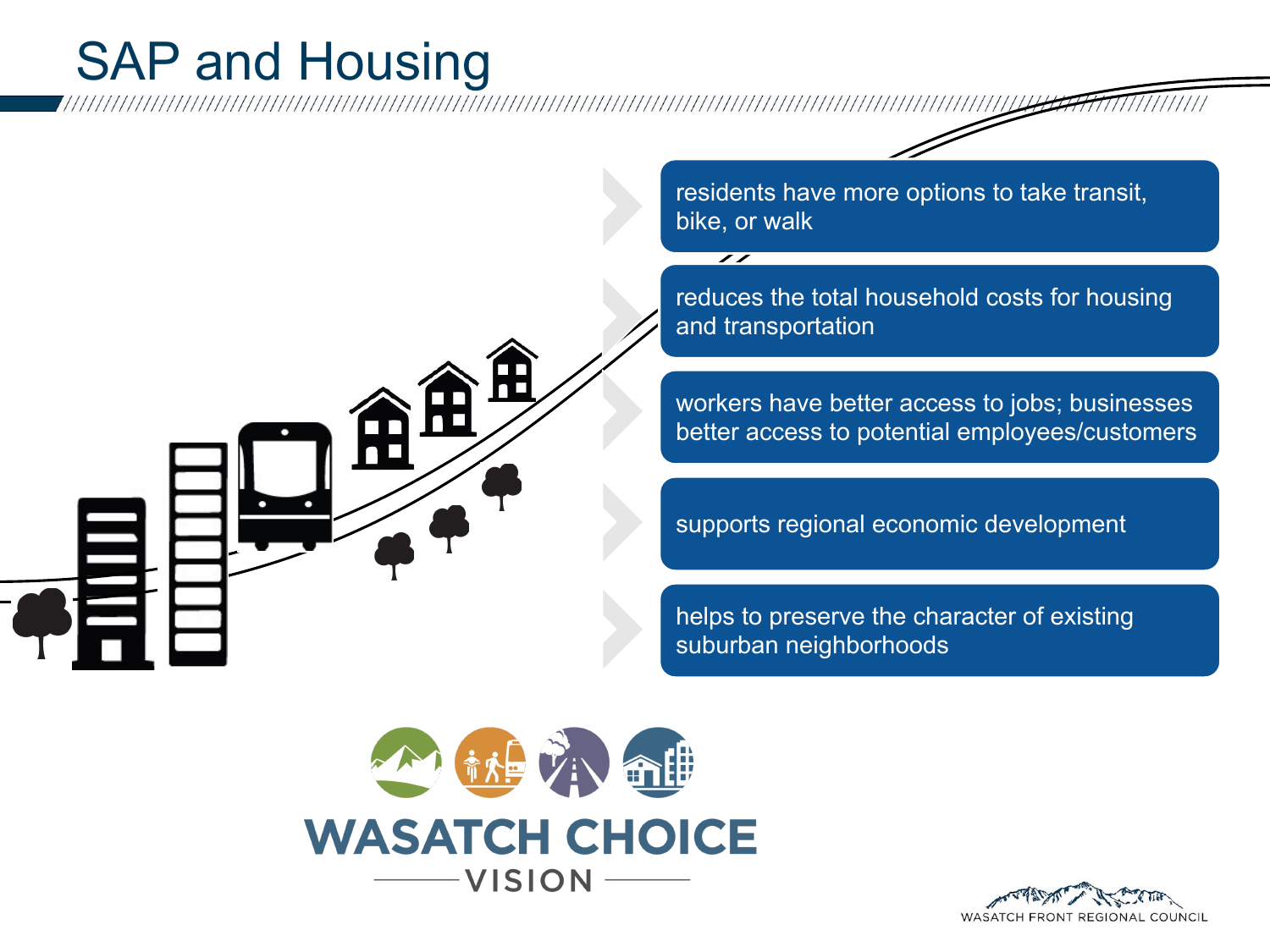#### SAP and Housing

residents have more options to take transit, bike, or walk

 $\overline{\mathscr{S}}$ 

reduces the total household costs for housing and transportation

workers have better access to jobs; businesses better access to potential employees/customers

supports regional economic development

helps to preserve the character of existing suburban neighborhoods



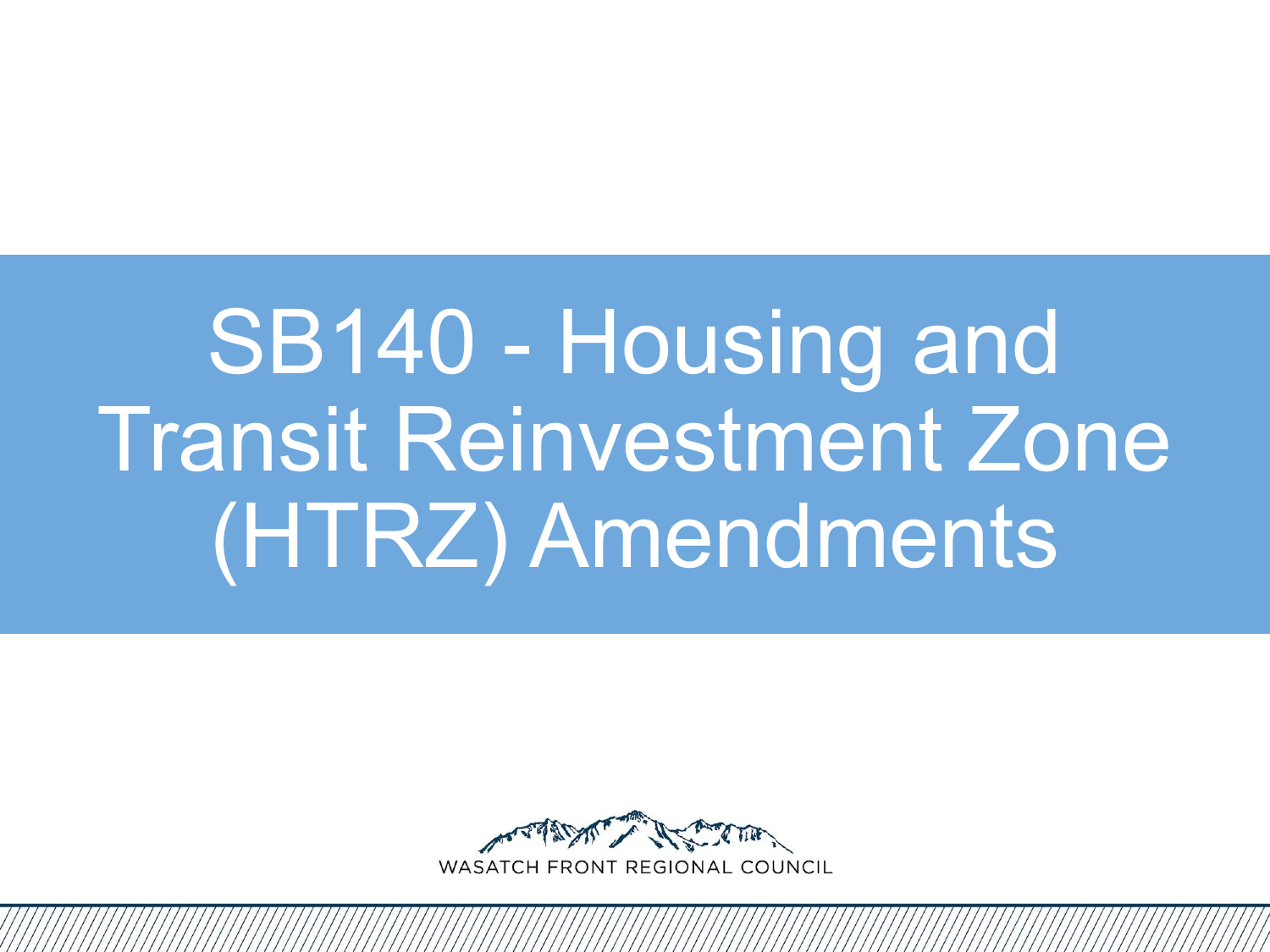## SB140 - Housing and Transit Reinvestment Zone (HTRZ) Amendments

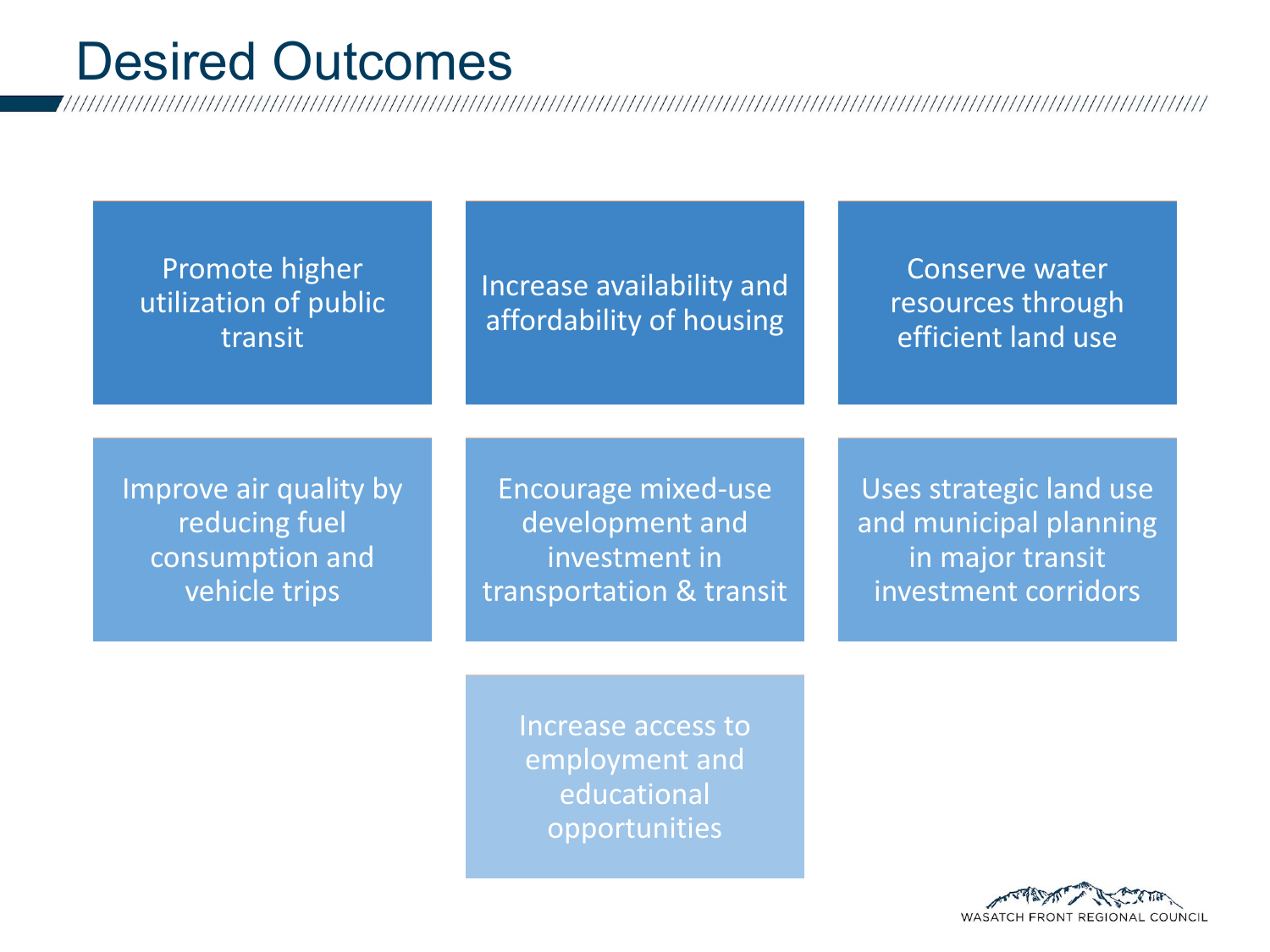#### Desired Outcomes

Promote higher utilization of public transit

Increase availability and affordability of housing

Conserve water resources through efficient land use

Improve air quality by reducing fuel consumption and vehicle trips

Encourage mixed-use development and investment in transportation & transit

Uses strategic land use and municipal planning in major transit investment corridors

Increase access to employment and educational opportunities

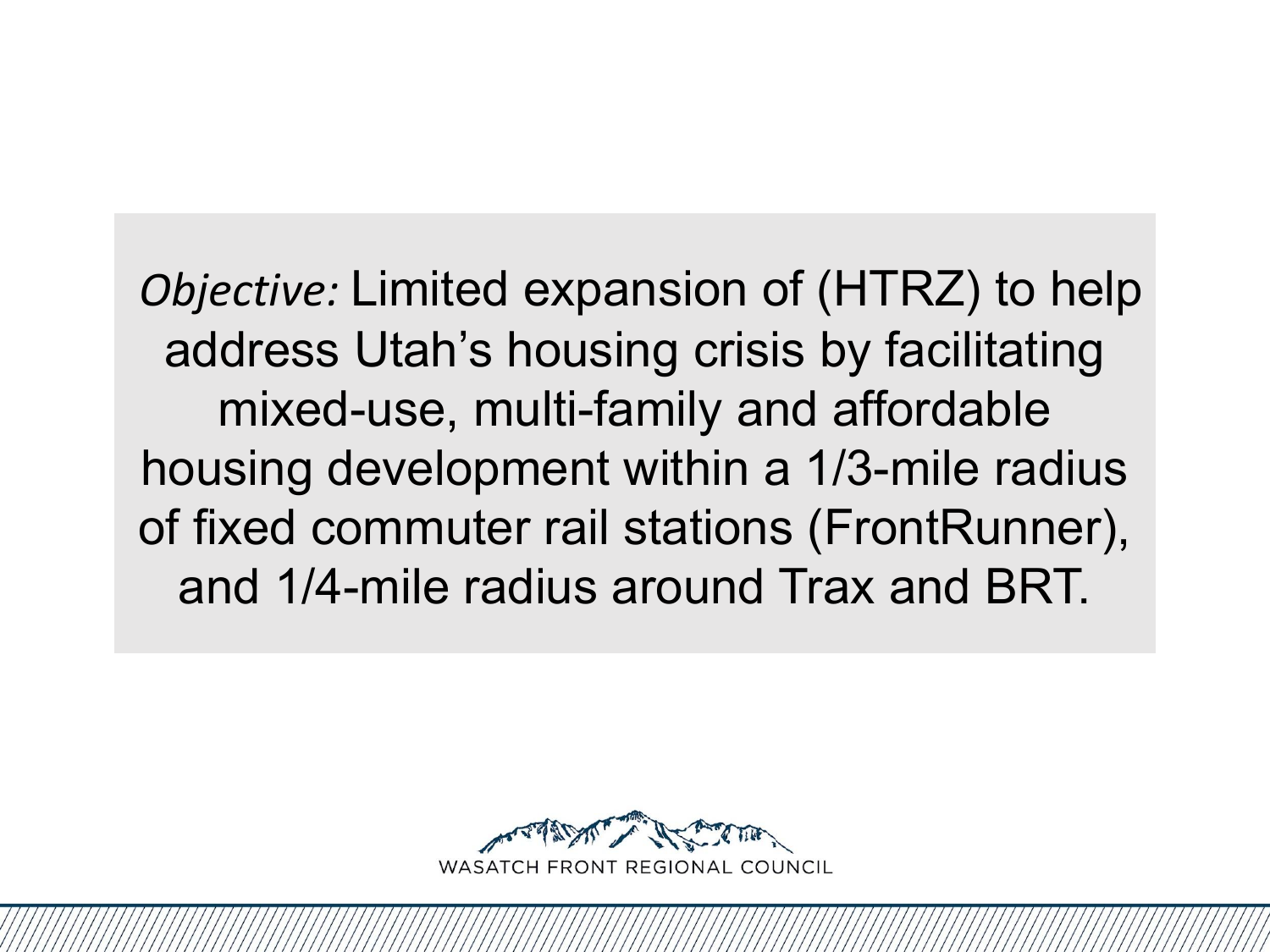*Objective:* Limited expansion of (HTRZ) to help address Utah's housing crisis by facilitating mixed-use, multi-family and affordable housing development within a 1/3-mile radius of fixed commuter rail stations (FrontRunner), and 1/4-mile radius around Trax and BRT.